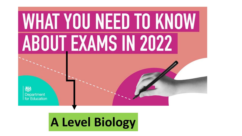# **WHAT YOU NEED TO KNOW ABOUT EXAMS IN 2022**

Department for Education

#### **A Level Biology**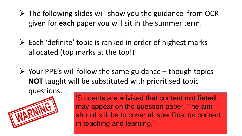- $\triangleright$  The following slides will show you the guidance from OCR given for **each** paper you will sit in the summer term.
- ➢ Each 'definite' topic is ranked in order of highest marks allocated (top marks at the top!)
- $\triangleright$  Your PPE's will follow the same guidance though topics **NOT** taught will be substituted with prioritised topic questions.



'Students are advised that content **not listed**  may appear on the question paper. The aim should still be to cover all specification content in teaching and learning.'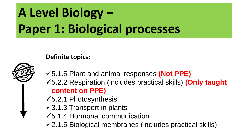## **A Level Biology – Paper 1: Biological processes**

**Definite topics:**



- ✓5.1.5 Plant and animal responses **(Not PPE)**
- ✓5.2.2 Respiration (includes practical skills) **(Only taught content on PPE)**
- $\sqrt{5.2.1}$  Photosynthesis
- $\sqrt{3.1.3}$  Transport in plants
- ✓5.1.4 Hormonal communication
- $\sqrt{2.1.5}$  Biological membranes (includes practical skills)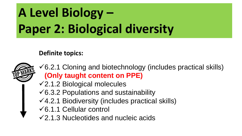## **A Level Biology – Paper 2: Biological diversity**

#### **Definite topics:**



- $\sqrt{6.2.1}$  Cloning and biotechnology (includes practical skills) **(Only taught content on PPE)**
- ✓2.1.2 Biological molecules
- $\sqrt{6.3.2}$  Populations and sustainability
- $\sqrt{4.2.1}$  Biodiversity (includes practical skills)
- ✓6.1.1 Cellular control
- $\sqrt{2.1.3}$  Nucleotides and nucleic acids